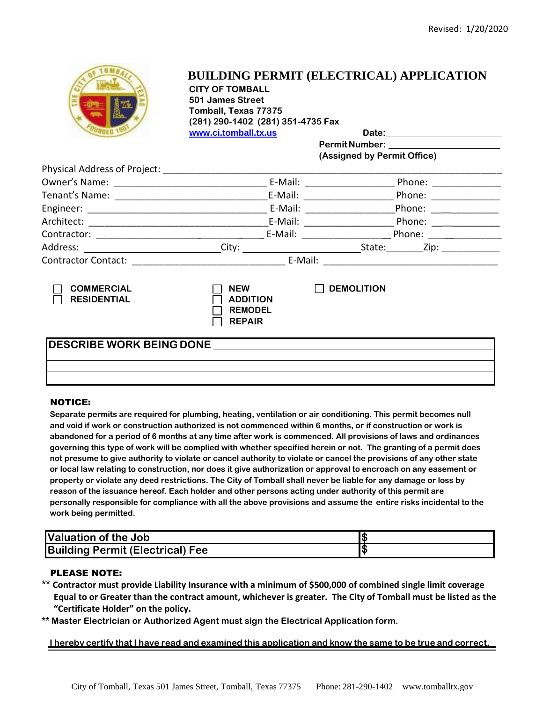

## **BUILDING PERMIT (ELECTRICAL) APPLICATION**

**CITY OF TOMBALL 501 James Street Tomball, Texas 77375 (281) 290-1402 (281) 351-4735 Fax www.ci.tomball.tx.us Date:**

**PermitNumber:** 

**(Assigned by Permit Office)**

|                                         |                                                                  | E-Mail: ______________   | Phone: ________________       |  |  |  |
|-----------------------------------------|------------------------------------------------------------------|--------------------------|-------------------------------|--|--|--|
|                                         |                                                                  |                          | Phone: ___________            |  |  |  |
|                                         |                                                                  |                          | Phone: ______________         |  |  |  |
|                                         |                                                                  | E-Mail: ________________ | Phone: _____________          |  |  |  |
|                                         |                                                                  | E-Mail: 2008             | Phone: $\qquad \qquad \qquad$ |  |  |  |
|                                         |                                                                  |                          |                               |  |  |  |
|                                         |                                                                  |                          |                               |  |  |  |
| <b>COMMERCIAL</b><br><b>RESIDENTIAL</b> | <b>NEW</b><br><b>ADDITION</b><br><b>REMODEL</b><br><b>REPAIR</b> | <b>DEMOLITION</b>        |                               |  |  |  |
|                                         |                                                                  |                          |                               |  |  |  |
|                                         |                                                                  |                          |                               |  |  |  |
|                                         |                                                                  |                          |                               |  |  |  |
|                                         |                                                                  |                          |                               |  |  |  |

#### NOTICE:

**Separate permits are required for plumbing, heating, ventilation or air conditioning. This permit becomes null and void if work or construction authorized is not commenced within 6 months, or if construction or work is abandoned for a period of 6 months at any time after work is commenced. All provisions of laws and ordinances governing this type of work will be complied with whether specified herein or not. The granting of a permit does not presume to give authority to violate or cancel authority to violate or cancel the provisions of any other state or local law relating to construction, nor does it give authorization or approval to encroach on any easement or property or violate any deed restrictions. The City of Tomball shall never be liable for any damage or loss by reason of the issuance hereof. Each holder and other persons acting under authority of this permit are personally responsible for compliance with all the above provisions and assume the entire risks incidental to the work being permitted.**

| <b>Valuation of the Job</b>             |  |
|-----------------------------------------|--|
| <b>Building Permit (Electrical) Fee</b> |  |

#### PLEASE NOTE:

- **\*\* Contractor must provide Liability Insurance with a minimum of \$500,000 of combined single limit coverage Equal to or Greater than the contract amount, whichever is greater. The City of Tomball must be listed as the "Certificate Holder" on the policy.**
- **\*\* Master Electrician or Authorized Agent must sign the Electrical Application form.**

I hereby certify that I have read and examined this application and know the same to be true and correct.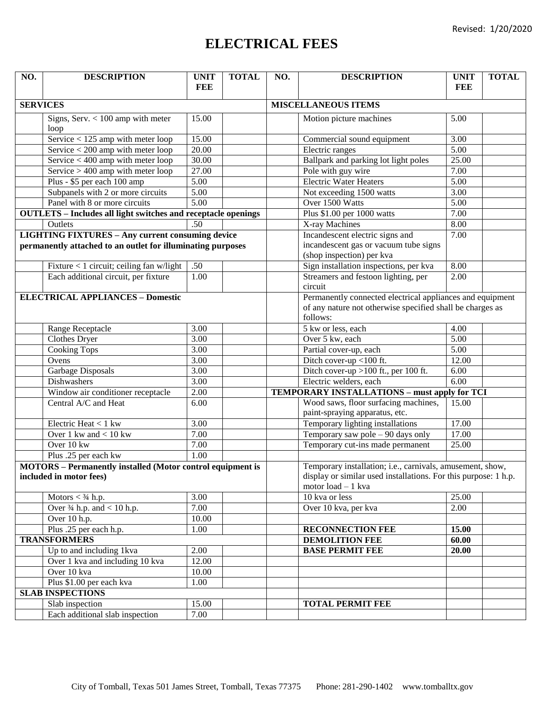# **ELECTRICAL FEES**

| NO.                                                                                          | <b>DESCRIPTION</b>                          | <b>UNIT</b>       | <b>TOTAL</b>                    | NO.                                                                                                                                                | <b>DESCRIPTION</b>                                                     | <b>UNIT</b>       | <b>TOTAL</b> |  |
|----------------------------------------------------------------------------------------------|---------------------------------------------|-------------------|---------------------------------|----------------------------------------------------------------------------------------------------------------------------------------------------|------------------------------------------------------------------------|-------------------|--------------|--|
|                                                                                              |                                             | <b>FEE</b>        |                                 |                                                                                                                                                    |                                                                        | <b>FEE</b>        |              |  |
| <b>SERVICES</b>                                                                              |                                             |                   | <b>MISCELLANEOUS ITEMS</b>      |                                                                                                                                                    |                                                                        |                   |              |  |
|                                                                                              | Signs, Serv. $< 100$ amp with meter         | 15.00             |                                 |                                                                                                                                                    | Motion picture machines                                                | 5.00              |              |  |
|                                                                                              | loop                                        |                   |                                 |                                                                                                                                                    |                                                                        |                   |              |  |
|                                                                                              | Service $<$ 125 amp with meter loop         | 15.00             |                                 |                                                                                                                                                    | Commercial sound equipment                                             | 3.00              |              |  |
|                                                                                              | Service $<$ 200 amp with meter loop         | 20.00             |                                 |                                                                                                                                                    | Electric ranges                                                        | 5.00              |              |  |
|                                                                                              | Service $<$ 400 amp with meter loop         | 30.00             |                                 |                                                                                                                                                    | Ballpark and parking lot light poles                                   | 25.00             |              |  |
|                                                                                              | Service $> 400$ amp with meter loop         | 27.00             |                                 |                                                                                                                                                    | Pole with guy wire                                                     | 7.00              |              |  |
|                                                                                              | Plus - \$5 per each 100 amp                 | $\overline{5.00}$ |                                 |                                                                                                                                                    | <b>Electric Water Heaters</b>                                          | $\overline{5.00}$ |              |  |
|                                                                                              | Subpanels with 2 or more circuits           | $\overline{5.00}$ |                                 |                                                                                                                                                    | Not exceeding 1500 watts                                               | 3.00              |              |  |
|                                                                                              | Panel with 8 or more circuits               | 5.00              |                                 |                                                                                                                                                    | Over 1500 Watts                                                        | $\overline{5.00}$ |              |  |
| <b>OUTLETS</b> - Includes all light switches and receptacle openings                         |                                             |                   | Plus \$1.00 per 1000 watts      | 7.00                                                                                                                                               |                                                                        |                   |              |  |
|                                                                                              | Outlets                                     | .50               |                                 |                                                                                                                                                    | X-ray Machines                                                         | 8.00              |              |  |
| <b>LIGHTING FIXTURES - Any current consuming device</b>                                      |                                             |                   | Incandescent electric signs and | 7.00                                                                                                                                               |                                                                        |                   |              |  |
| permanently attached to an outlet for illuminating purposes                                  |                                             |                   |                                 | incandescent gas or vacuum tube signs<br>(shop inspection) per kva                                                                                 |                                                                        |                   |              |  |
|                                                                                              | Fixture $< 1$ circuit; ceiling fan w/light  | .50               |                                 |                                                                                                                                                    | Sign installation inspections, per kva                                 | 8.00              |              |  |
|                                                                                              | Each additional circuit, per fixture        | 1.00              |                                 |                                                                                                                                                    | Streamers and festoon lighting, per                                    | 2.00              |              |  |
|                                                                                              |                                             |                   |                                 |                                                                                                                                                    | circuit                                                                |                   |              |  |
|                                                                                              | <b>ELECTRICAL APPLIANCES - Domestic</b>     |                   |                                 |                                                                                                                                                    | Permanently connected electrical appliances and equipment              |                   |              |  |
|                                                                                              |                                             |                   |                                 |                                                                                                                                                    | of any nature not otherwise specified shall be charges as              |                   |              |  |
|                                                                                              |                                             |                   |                                 |                                                                                                                                                    | follows:                                                               |                   |              |  |
|                                                                                              | Range Receptacle                            | 3.00              |                                 |                                                                                                                                                    | 5 kw or less, each                                                     | 4.00              |              |  |
|                                                                                              | <b>Clothes Dryer</b>                        | 3.00              |                                 |                                                                                                                                                    | Over 5 kw, each                                                        | 5.00              |              |  |
|                                                                                              | <b>Cooking Tops</b>                         | 3.00              |                                 |                                                                                                                                                    | Partial cover-up, each                                                 | 5.00              |              |  |
|                                                                                              | Ovens                                       | 3.00              |                                 |                                                                                                                                                    | Ditch cover-up <100 ft.                                                | 12.00             |              |  |
|                                                                                              | Garbage Disposals                           | 3.00              |                                 |                                                                                                                                                    | Ditch cover-up $>100$ ft., per 100 ft.                                 | 6.00              |              |  |
|                                                                                              | Dishwashers                                 | $\overline{3.00}$ |                                 |                                                                                                                                                    | Electric welders, each                                                 | 6.00              |              |  |
|                                                                                              | Window air conditioner receptacle           | 2.00              |                                 |                                                                                                                                                    | <b>TEMPORARY INSTALLATIONS - must apply for TCI</b>                    |                   |              |  |
|                                                                                              | Central A/C and Heat                        | 6.00              |                                 |                                                                                                                                                    | Wood saws, floor surfacing machines,<br>paint-spraying apparatus, etc. | 15.00             |              |  |
|                                                                                              | Electric Heat < 1 kw                        | 3.00              |                                 |                                                                                                                                                    | Temporary lighting installations                                       | 17.00             |              |  |
|                                                                                              | Over 1 kw and $< 10$ kw                     | 7.00              |                                 |                                                                                                                                                    | Temporary saw pole - 90 days only                                      | 17.00             |              |  |
|                                                                                              | Over 10 kw                                  | 7.00              |                                 |                                                                                                                                                    | Temporary cut-ins made permanent                                       | 25.00             |              |  |
|                                                                                              | Plus .25 per each kw                        | 1.00              |                                 |                                                                                                                                                    |                                                                        |                   |              |  |
| <b>MOTORS</b> - Permanently installed (Motor control equipment is<br>included in motor fees) |                                             |                   |                                 | Temporary installation; i.e., carnivals, amusement, show,<br>display or similar used installations. For this purpose: 1 h.p.<br>motor load - 1 kva |                                                                        |                   |              |  |
|                                                                                              | Motors $<$ 3/4 h.p.                         | 3.00              |                                 |                                                                                                                                                    | 10 kva or less                                                         | 25.00             |              |  |
|                                                                                              | Over $\frac{3}{4}$ h.p. and < 10 h.p.       | 7.00              |                                 |                                                                                                                                                    | Over 10 kva, per kva                                                   | 2.00              |              |  |
|                                                                                              | Over 10 h.p.                                | 10.00             |                                 |                                                                                                                                                    |                                                                        |                   |              |  |
|                                                                                              | Plus .25 per each h.p.                      | 1.00              |                                 |                                                                                                                                                    | <b>RECONNECTION FEE</b>                                                | 15.00             |              |  |
| <b>TRANSFORMERS</b>                                                                          |                                             |                   | <b>DEMOLITION FEE</b>           | 60.00                                                                                                                                              |                                                                        |                   |              |  |
|                                                                                              | Up to and including 1kva                    | 2.00              |                                 |                                                                                                                                                    | <b>BASE PERMIT FEE</b>                                                 | 20.00             |              |  |
|                                                                                              | Over 1 kva and including $\frac{10}{x}$ kva | 12.00             |                                 |                                                                                                                                                    |                                                                        |                   |              |  |
|                                                                                              | Over 10 kva                                 | 10.00             |                                 |                                                                                                                                                    |                                                                        |                   |              |  |
|                                                                                              | Plus \$1.00 per each kva                    | 1.00              |                                 |                                                                                                                                                    |                                                                        |                   |              |  |
|                                                                                              | <b>SLAB INSPECTIONS</b>                     |                   |                                 |                                                                                                                                                    |                                                                        |                   |              |  |
|                                                                                              | Slab inspection                             | 15.00             |                                 |                                                                                                                                                    | <b>TOTAL PERMIT FEE</b>                                                |                   |              |  |
|                                                                                              | Each additional slab inspection             | 7.00              |                                 |                                                                                                                                                    |                                                                        |                   |              |  |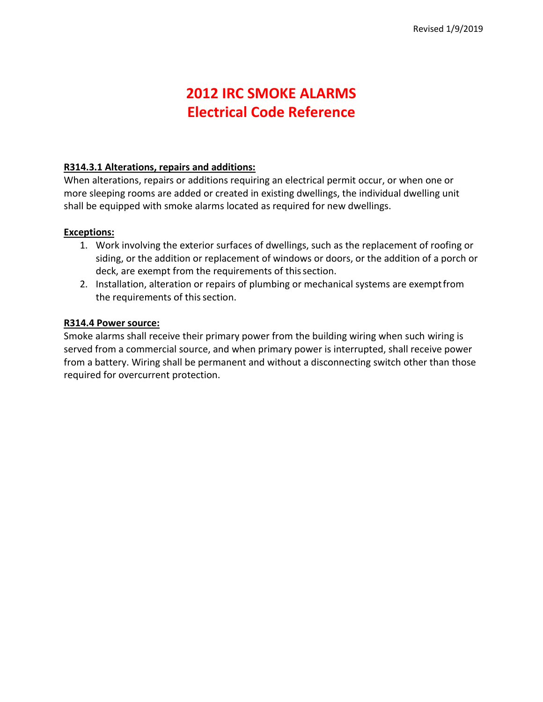# **2012 IRC SMOKE ALARMS Electrical Code Reference**

### **R314.3.1 Alterations, repairs and additions:**

When alterations, repairs or additions requiring an electrical permit occur, or when one or more sleeping rooms are added or created in existing dwellings, the individual dwelling unit shall be equipped with smoke alarms located as required for new dwellings.

### **Exceptions:**

- 1. Work involving the exterior surfaces of dwellings, such as the replacement of roofing or siding, or the addition or replacement of windows or doors, or the addition of a porch or deck, are exempt from the requirements of this section.
- 2. Installation, alteration or repairs of plumbing or mechanical systems are exemptfrom the requirements of this section.

### **R314.4 Power source:**

Smoke alarms shall receive their primary power from the building wiring when such wiring is served from a commercial source, and when primary power is interrupted, shall receive power from a battery. Wiring shall be permanent and without a disconnecting switch other than those required for overcurrent protection.